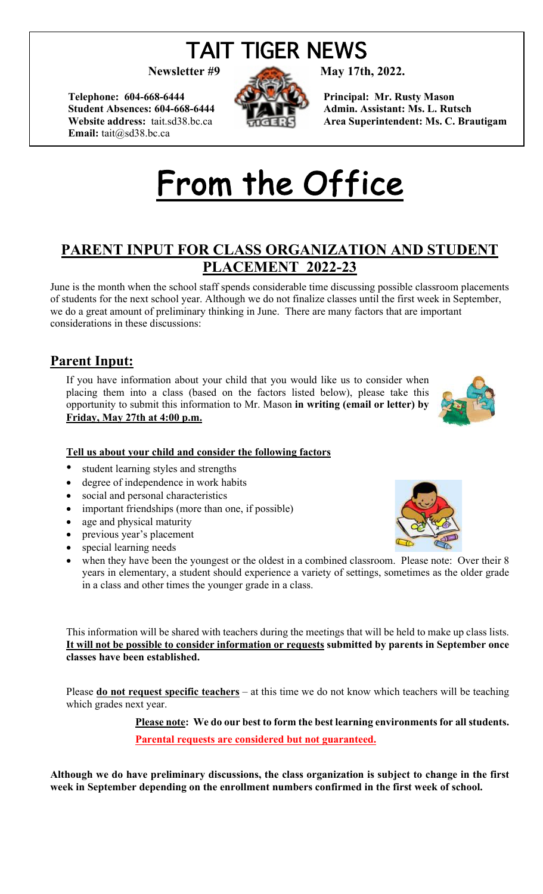# TAIT TIGER NEWS

Telephone: 604-668-6444 **Principal: Mr. Rusty Mason Email:** tait@sd38.bc.ca



**Newsletter #9 May 17th, 2022.**

Student Absences: 604-668-6444 **Admin. Assistant: Ms. L. Rutsch Website address:** tait.sd38.bc.ca **Area Superintendent: Ms. C. Brautigam** 

# From the Office

## **PARENT INPUT FOR CLASS ORGANIZATION AND STUDENT PLACEMENT 2022-23**

June is the month when the school staff spends considerable time discussing possible classroom placements of students for the next school year. Although we do not finalize classes until the first week in September, we do a great amount of preliminary thinking in June. There are many factors that are important considerations in these discussions:

## **Parent Input:**

If you have information about your child that you would like us to consider when placing them into a class (based on the factors listed below), please take this opportunity to submit this information to Mr. Mason **in writing (email or letter) by Friday, May 27th at 4:00 p.m.** 



#### **Tell us about your child and consider the following factors**

- student learning styles and strengths
- degree of independence in work habits
- social and personal characteristics
- important friendships (more than one, if possible)
- age and physical maturity
- previous year's placement
- special learning needs
- when they have been the youngest or the oldest in a combined classroom. Please note: Over their 8 years in elementary, a student should experience a variety of settings, sometimes as the older grade in a class and other times the younger grade in a class.

This information will be shared with teachers during the meetings that will be held to make up class lists. **It will not be possible to consider information or requests submitted by parents in September once classes have been established.** 

Please **do not request specific teachers** – at this time we do not know which teachers will be teaching which grades next year.

> **Please note: We do our best to form the best learning environments for all students. Parental requests are considered but not guaranteed.**

**Although we do have preliminary discussions, the class organization is subject to change in the first week in September depending on the enrollment numbers confirmed in the first week of school.** 

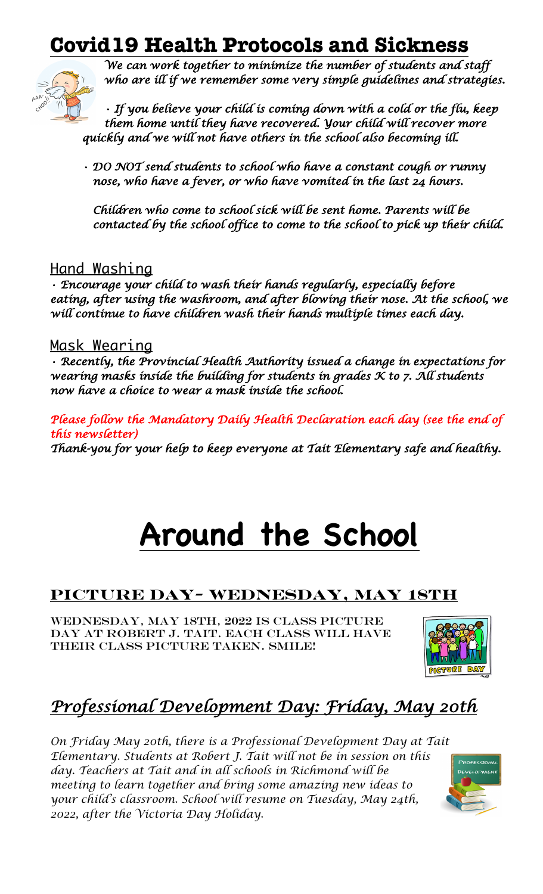## **Covid19 Health Protocols and Sickness**



*We can work together to minimize the number of students and staff who are ill if we remember some very simple guidelines and strategies.* 

*• If you believe your child is coming down with a cold or the flu, keep them home until they have recovered. Your child will recover more quickly and we will not have others in the school also becoming ill.* 

*• DO NOT send students to school who have a constant cough or runny nose, who have a fever, or who have vomited in the last 24 hours.* 

*Children who come to school sick will be sent home. Parents will be contacted by the school office to come to the school to pick up their child.* 

## <u>Hand Washing</u>

*• Encourage your child to wash their hands regularly, especially before*  eating, after using the washroom, and after blowing their nose. At the school, we *will continue to have children wash their hands multiple times each day.* 

### Mask Wearing

*• Recently, the Provincial Health Authority issued a change in expectations for wearing masks inside the building for students in grades K to 7. All students now have a choice to wear a mask inside the school.* 

Please follow the Mandatory Daily Health Declaration each day (see the end of *this newsletter)* 

*Thank-you for your help to keep everyone at Tait Elementary safe and healthy.* 

# **Around the School**

## **Picture Day- Wednesday, May 18th**

Wednesday, May 18th, 2022 is Class Picture Day at Robert J. Tait. Each class will have their class picture taken. Smile!



## *Professional Development Day: Friday, May 20th*

*On Friday May 20th, there is a Professional Development Day at Tait Elementary. Students at Robert J. Tait will not be in session on this day. Teachers at Tait and in all schools in Richmond will be meeting to learn together and bring some amazing new ideas to your child's classroom. School will resume on Tuesday, May 24th, 2022, after the Victoria Day Holiday.*

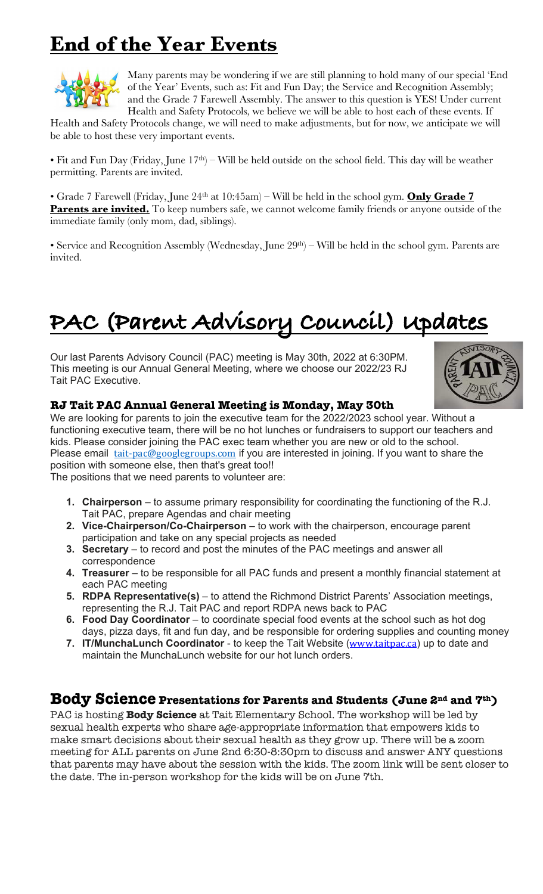## **End of the Year Events**



Many parents may be wondering if we are still planning to hold many of our special 'End of the Year' Events, such as: Fit and Fun Day; the Service and Recognition Assembly; and the Grade 7 Farewell Assembly. The answer to this question is YES! Under current Health and Safety Protocols, we believe we will be able to host each of these events. If

Health and Safety Protocols change, we will need to make adjustments, but for now, we anticipate we will be able to host these very important events.

• Fit and Fun Day (Friday, June  $17<sup>th</sup>$ ) – Will be held outside on the school field. This day will be weather permitting. Parents are invited.

• Grade 7 Farewell (Friday, June 24<sup>th</sup> at 10:45am) – Will be held in the school gym. **Only Grade 7 Parents are invited.** To keep numbers safe, we cannot welcome family friends or anyone outside of the immediate family (only mom, dad, siblings).

• Service and Recognition Assembly (Wednesday, June 29<sup>th</sup>) – Will be held in the school gym. Parents are invited.

# **PAC (Parent Advisory Council) Updates**

Our last Parents Advisory Council (PAC) meeting is May 30th, 2022 at 6:30PM. This meeting is our Annual General Meeting, where we choose our 2022/23 RJ Tait PAC Executive.



#### **RJ Tait PAC Annual General Meeting is Monday, May 30th**

We are looking for parents to join the executive team for the 2022/2023 school year. Without a functioning executive team, there will be no hot lunches or fundraisers to support our teachers and kids. Please consider joining the PAC exec team whether you are new or old to the school. Please email tait-pac@googlegroups.com if you are interested in joining. If you want to share the position with someone else, then that's great too!!

The positions that we need parents to volunteer are:

- **1. Chairperson** to assume primary responsibility for coordinating the functioning of the R.J. Tait PAC, prepare Agendas and chair meeting
- **2. Vice-Chairperson/Co-Chairperson** to work with the chairperson, encourage parent participation and take on any special projects as needed
- **3. Secretary** to record and post the minutes of the PAC meetings and answer all correspondence
- **4. Treasurer** to be responsible for all PAC funds and present a monthly financial statement at each PAC meeting
- **5. RDPA Representative(s)** to attend the Richmond District Parents' Association meetings, representing the R.J. Tait PAC and report RDPA news back to PAC
- **6. Food Day Coordinator** to coordinate special food events at the school such as hot dog days, pizza days, fit and fun day, and be responsible for ordering supplies and counting money
- **7. IT/MunchaLunch Coordinator** to keep the Tait Website (www.taitpac.ca) up to date and maintain the MunchaLunch website for our hot lunch orders.

### **Body Science Presentations for Parents and Students (June 2nd and 7th)**

PAC is hosting **Body Science** at Tait Elementary School. The workshop will be led by sexual health experts who share age-appropriate information that empowers kids to make smart decisions about their sexual health as they grow up. There will be a zoom meeting for ALL parents on June 2nd 6:30-8:30pm to discuss and answer ANY questions that parents may have about the session with the kids. The zoom link will be sent closer to the date. The in-person workshop for the kids will be on June 7th.